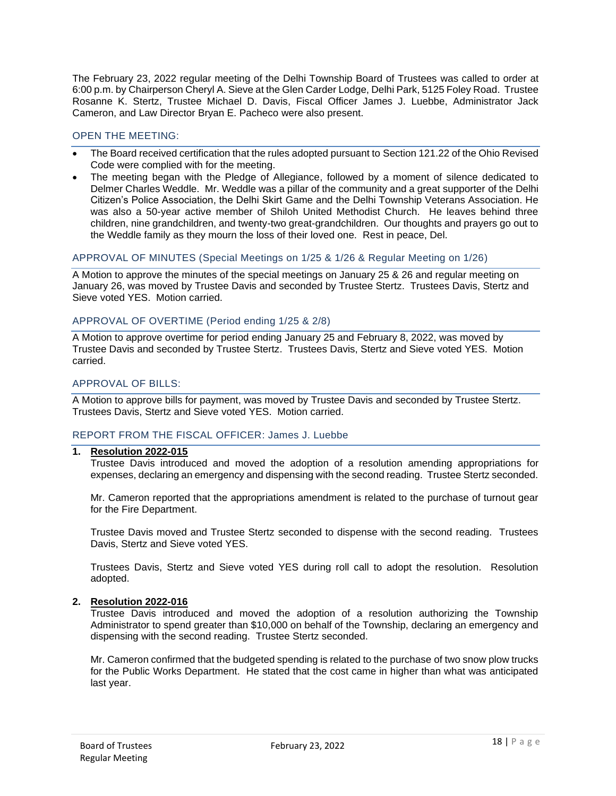The February 23, 2022 regular meeting of the Delhi Township Board of Trustees was called to order at 6:00 p.m. by Chairperson Cheryl A. Sieve at the Glen Carder Lodge, Delhi Park, 5125 Foley Road. Trustee Rosanne K. Stertz, Trustee Michael D. Davis, Fiscal Officer James J. Luebbe, Administrator Jack Cameron, and Law Director Bryan E. Pacheco were also present.

# OPEN THE MEETING:

- The Board received certification that the rules adopted pursuant to Section 121.22 of the Ohio Revised Code were complied with for the meeting.
- The meeting began with the Pledge of Allegiance, followed by a moment of silence dedicated to Delmer Charles Weddle. Mr. Weddle was a pillar of the community and a great supporter of the Delhi Citizen's Police Association, the Delhi Skirt Game and the Delhi Township Veterans Association. He was also a 50-year active member of Shiloh United Methodist Church. He leaves behind three children, nine grandchildren, and twenty-two great-grandchildren. Our thoughts and prayers go out to the Weddle family as they mourn the loss of their loved one. Rest in peace, Del.

## APPROVAL OF MINUTES (Special Meetings on 1/25 & 1/26 & Regular Meeting on 1/26)

A Motion to approve the minutes of the special meetings on January 25 & 26 and regular meeting on January 26, was moved by Trustee Davis and seconded by Trustee Stertz. Trustees Davis, Stertz and Sieve voted YES. Motion carried.

## APPROVAL OF OVERTIME (Period ending 1/25 & 2/8)

A Motion to approve overtime for period ending January 25 and February 8, 2022, was moved by Trustee Davis and seconded by Trustee Stertz. Trustees Davis, Stertz and Sieve voted YES. Motion carried.

# APPROVAL OF BILLS:

A Motion to approve bills for payment, was moved by Trustee Davis and seconded by Trustee Stertz. Trustees Davis, Stertz and Sieve voted YES. Motion carried.

### REPORT FROM THE FISCAL OFFICER: James J. Luebbe

### **1. Resolution 2022-015**

Trustee Davis introduced and moved the adoption of a resolution amending appropriations for expenses, declaring an emergency and dispensing with the second reading. Trustee Stertz seconded.

Mr. Cameron reported that the appropriations amendment is related to the purchase of turnout gear for the Fire Department.

Trustee Davis moved and Trustee Stertz seconded to dispense with the second reading. Trustees Davis, Stertz and Sieve voted YES.

Trustees Davis, Stertz and Sieve voted YES during roll call to adopt the resolution. Resolution adopted.

### **2. Resolution 2022-016**

Trustee Davis introduced and moved the adoption of a resolution authorizing the Township Administrator to spend greater than \$10,000 on behalf of the Township, declaring an emergency and dispensing with the second reading. Trustee Stertz seconded.

Mr. Cameron confirmed that the budgeted spending is related to the purchase of two snow plow trucks for the Public Works Department. He stated that the cost came in higher than what was anticipated last year.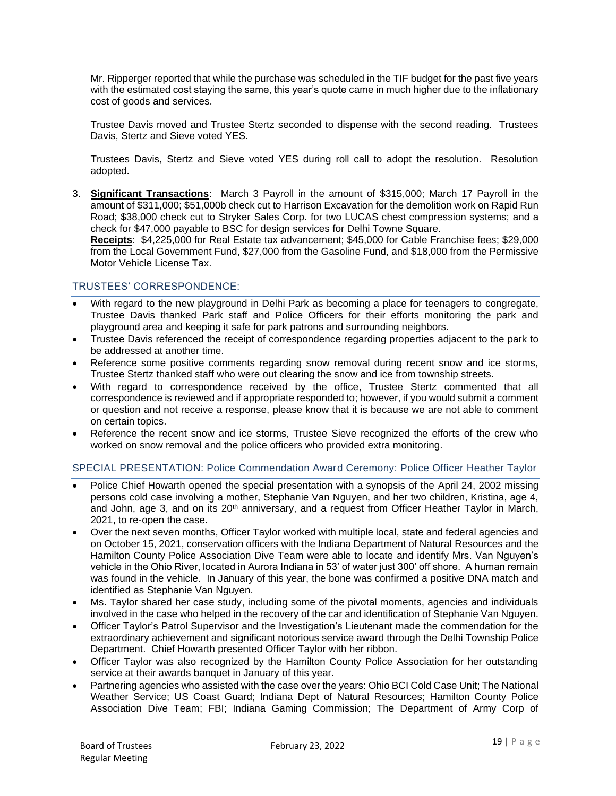Mr. Ripperger reported that while the purchase was scheduled in the TIF budget for the past five years with the estimated cost staying the same, this year's quote came in much higher due to the inflationary cost of goods and services.

Trustee Davis moved and Trustee Stertz seconded to dispense with the second reading. Trustees Davis, Stertz and Sieve voted YES.

Trustees Davis, Stertz and Sieve voted YES during roll call to adopt the resolution. Resolution adopted.

3. **Significant Transactions**: March 3 Payroll in the amount of \$315,000; March 17 Payroll in the amount of \$311,000; \$51,000b check cut to Harrison Excavation for the demolition work on Rapid Run Road; \$38,000 check cut to Stryker Sales Corp. for two LUCAS chest compression systems; and a check for \$47,000 payable to BSC for design services for Delhi Towne Square.

**Receipts**: \$4,225,000 for Real Estate tax advancement; \$45,000 for Cable Franchise fees; \$29,000 from the Local Government Fund, \$27,000 from the Gasoline Fund, and \$18,000 from the Permissive Motor Vehicle License Tax.

## TRUSTEES' CORRESPONDENCE:

- With regard to the new playground in Delhi Park as becoming a place for teenagers to congregate, Trustee Davis thanked Park staff and Police Officers for their efforts monitoring the park and playground area and keeping it safe for park patrons and surrounding neighbors.
- Trustee Davis referenced the receipt of correspondence regarding properties adjacent to the park to be addressed at another time.
- Reference some positive comments regarding snow removal during recent snow and ice storms, Trustee Stertz thanked staff who were out clearing the snow and ice from township streets.
- With regard to correspondence received by the office, Trustee Stertz commented that all correspondence is reviewed and if appropriate responded to; however, if you would submit a comment or question and not receive a response, please know that it is because we are not able to comment on certain topics.
- Reference the recent snow and ice storms, Trustee Sieve recognized the efforts of the crew who worked on snow removal and the police officers who provided extra monitoring.

# SPECIAL PRESENTATION: Police Commendation Award Ceremony: Police Officer Heather Taylor

- Police Chief Howarth opened the special presentation with a synopsis of the April 24, 2002 missing persons cold case involving a mother, Stephanie Van Nguyen, and her two children, Kristina, age 4, and John, age 3, and on its 20<sup>th</sup> anniversary, and a request from Officer Heather Taylor in March, 2021, to re-open the case.
- Over the next seven months, Officer Taylor worked with multiple local, state and federal agencies and on October 15, 2021, conservation officers with the Indiana Department of Natural Resources and the Hamilton County Police Association Dive Team were able to locate and identify Mrs. Van Nguyen's vehicle in the Ohio River, located in Aurora Indiana in 53' of water just 300' off shore. A human remain was found in the vehicle. In January of this year, the bone was confirmed a positive DNA match and identified as Stephanie Van Nguyen.
- Ms. Taylor shared her case study, including some of the pivotal moments, agencies and individuals involved in the case who helped in the recovery of the car and identification of Stephanie Van Nguyen.
- Officer Taylor's Patrol Supervisor and the Investigation's Lieutenant made the commendation for the extraordinary achievement and significant notorious service award through the Delhi Township Police Department. Chief Howarth presented Officer Taylor with her ribbon.
- Officer Taylor was also recognized by the Hamilton County Police Association for her outstanding service at their awards banquet in January of this year.
- Partnering agencies who assisted with the case over the years: Ohio BCI Cold Case Unit; The National Weather Service; US Coast Guard; Indiana Dept of Natural Resources; Hamilton County Police Association Dive Team; FBI; Indiana Gaming Commission; The Department of Army Corp of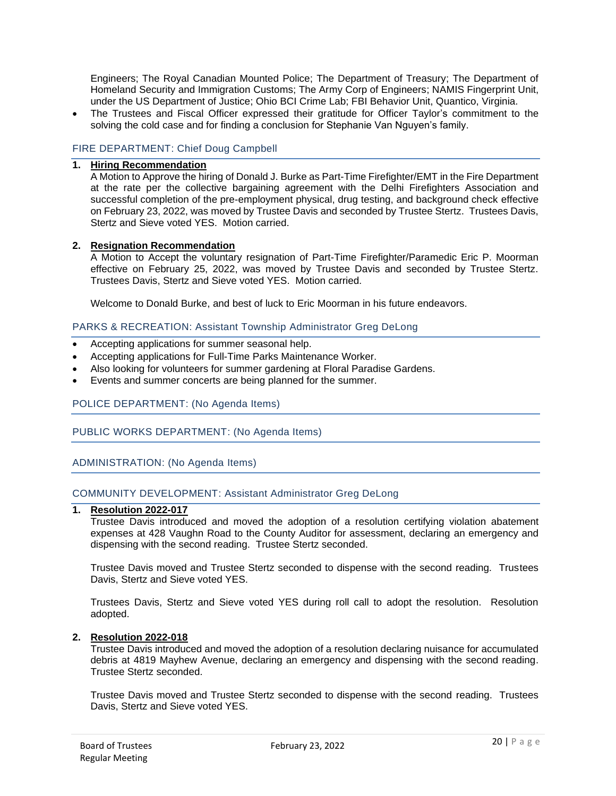Engineers; The Royal Canadian Mounted Police; The Department of Treasury; The Department of Homeland Security and Immigration Customs; The Army Corp of Engineers; NAMIS Fingerprint Unit, under the US Department of Justice; Ohio BCI Crime Lab; FBI Behavior Unit, Quantico, Virginia.

• The Trustees and Fiscal Officer expressed their gratitude for Officer Taylor's commitment to the solving the cold case and for finding a conclusion for Stephanie Van Nguyen's family.

## FIRE DEPARTMENT: Chief Doug Campbell

# **1. Hiring Recommendation**

A Motion to Approve the hiring of Donald J. Burke as Part-Time Firefighter/EMT in the Fire Department at the rate per the collective bargaining agreement with the Delhi Firefighters Association and successful completion of the pre-employment physical, drug testing, and background check effective on February 23, 2022, was moved by Trustee Davis and seconded by Trustee Stertz. Trustees Davis, Stertz and Sieve voted YES. Motion carried.

### **2. Resignation Recommendation**

A Motion to Accept the voluntary resignation of Part-Time Firefighter/Paramedic Eric P. Moorman effective on February 25, 2022, was moved by Trustee Davis and seconded by Trustee Stertz. Trustees Davis, Stertz and Sieve voted YES. Motion carried.

Welcome to Donald Burke, and best of luck to Eric Moorman in his future endeavors.

### PARKS & RECREATION: Assistant Township Administrator Greg DeLong

- Accepting applications for summer seasonal help.
- Accepting applications for Full-Time Parks Maintenance Worker.
- Also looking for volunteers for summer gardening at Floral Paradise Gardens.
- Events and summer concerts are being planned for the summer.

### POLICE DEPARTMENT: (No Agenda Items)

### PUBLIC WORKS DEPARTMENT: (No Agenda Items)

ADMINISTRATION: (No Agenda Items)

#### COMMUNITY DEVELOPMENT: Assistant Administrator Greg DeLong

#### **1. Resolution 2022-017**

Trustee Davis introduced and moved the adoption of a resolution certifying violation abatement expenses at 428 Vaughn Road to the County Auditor for assessment, declaring an emergency and dispensing with the second reading. Trustee Stertz seconded.

Trustee Davis moved and Trustee Stertz seconded to dispense with the second reading. Trustees Davis, Stertz and Sieve voted YES.

Trustees Davis, Stertz and Sieve voted YES during roll call to adopt the resolution. Resolution adopted.

#### **2. Resolution 2022-018**

Trustee Davis introduced and moved the adoption of a resolution declaring nuisance for accumulated debris at 4819 Mayhew Avenue, declaring an emergency and dispensing with the second reading. Trustee Stertz seconded.

Trustee Davis moved and Trustee Stertz seconded to dispense with the second reading. Trustees Davis, Stertz and Sieve voted YES.